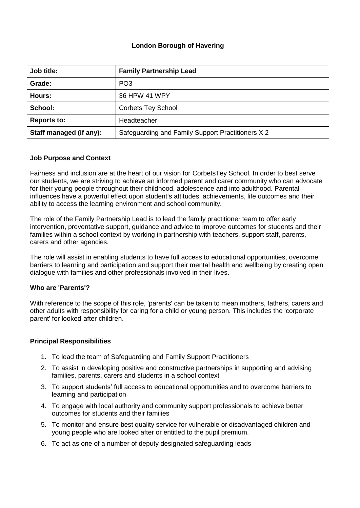# **London Borough of Havering**

| Job title:              | <b>Family Partnership Lead</b>                    |
|-------------------------|---------------------------------------------------|
| Grade:                  | PO <sub>3</sub>                                   |
| Hours:                  | 36 HPW 41 WPY                                     |
| School:                 | <b>Corbets Tey School</b>                         |
| <b>Reports to:</b>      | Headteacher                                       |
| Staff managed (if any): | Safeguarding and Family Support Practitioners X 2 |

## **Job Purpose and Context**

Fairness and inclusion are at the heart of our vision for CorbetsTey School. In order to best serve our students, we are striving to achieve an informed parent and carer community who can advocate for their young people throughout their childhood, adolescence and into adulthood. Parental influences have a powerful effect upon student's attitudes, achievements, life outcomes and their ability to access the learning environment and school community.

The role of the Family Partnership Lead is to lead the family practitioner team to offer early intervention, preventative support, guidance and advice to improve outcomes for students and their families within a school context by working in partnership with teachers, support staff, parents, carers and other agencies.

The role will assist in enabling students to have full access to educational opportunities, overcome barriers to learning and participation and support their mental health and wellbeing by creating open dialogue with families and other professionals involved in their lives.

## **Who are 'Parents'?**

With reference to the scope of this role, 'parents' can be taken to mean mothers, fathers, carers and other adults with responsibility for caring for a child or young person. This includes the 'corporate parent' for looked-after children.

#### **Principal Responsibilities**

- 1. To lead the team of Safeguarding and Family Support Practitioners
- 2. To assist in developing positive and constructive partnerships in supporting and advising families, parents, carers and students in a school context
- 3. To support students' full access to educational opportunities and to overcome barriers to learning and participation
- 4. To engage with local authority and community support professionals to achieve better outcomes for students and their families
- 5. To monitor and ensure best quality service for vulnerable or disadvantaged children and young people who are looked after or entitled to the pupil premium.
- 6. To act as one of a number of deputy designated safeguarding leads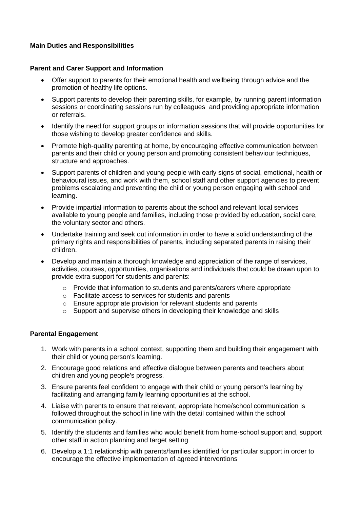# **Main Duties and Responsibilities**

# **Parent and Carer Support and Information**

- Offer support to parents for their emotional health and wellbeing through advice and the promotion of healthy life options.
- Support parents to develop their parenting skills, for example, by running parent information sessions or coordinating sessions run by colleagues and providing appropriate information or referrals.
- Identify the need for support groups or information sessions that will provide opportunities for those wishing to develop greater confidence and skills.
- Promote high-quality parenting at home, by encouraging effective communication between parents and their child or young person and promoting consistent behaviour techniques, structure and approaches.
- Support parents of children and young people with early signs of social, emotional, health or behavioural issues, and work with them, school staff and other support agencies to prevent problems escalating and preventing the child or young person engaging with school and learning.
- Provide impartial information to parents about the school and relevant local services available to young people and families, including those provided by education, social care, the voluntary sector and others.
- Undertake training and seek out information in order to have a solid understanding of the primary rights and responsibilities of parents, including separated parents in raising their children.
- Develop and maintain a thorough knowledge and appreciation of the range of services, activities, courses, opportunities, organisations and individuals that could be drawn upon to provide extra support for students and parents:
	- o Provide that information to students and parents/carers where appropriate
	- o Facilitate access to services for students and parents
	- o Ensure appropriate provision for relevant students and parents
	- o Support and supervise others in developing their knowledge and skills

## **Parental Engagement**

- 1. Work with parents in a school context, supporting them and building their engagement with their child or young person's learning.
- 2. Encourage good relations and effective dialogue between parents and teachers about children and young people's progress.
- 3. Ensure parents feel confident to engage with their child or young person's learning by facilitating and arranging family learning opportunities at the school.
- 4. Liaise with parents to ensure that relevant, appropriate home/school communication is followed throughout the school in line with the detail contained within the school communication policy.
- 5. Identify the students and families who would benefit from home-school support and, support other staff in action planning and target setting
- 6. Develop a 1:1 relationship with parents/families identified for particular support in order to encourage the effective implementation of agreed interventions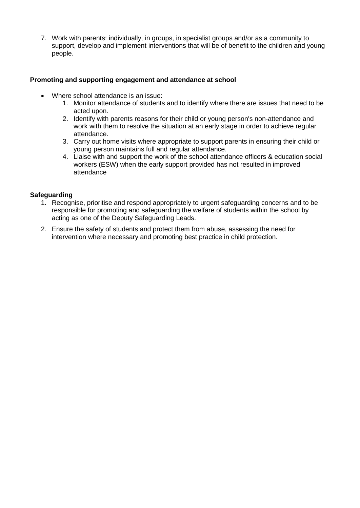7. Work with parents: individually, in groups, in specialist groups and/or as a community to support, develop and implement interventions that will be of benefit to the children and young people.

# **Promoting and supporting engagement and attendance at school**

- Where school attendance is an issue:
	- 1. Monitor attendance of students and to identify where there are issues that need to be acted upon.
	- 2. Identify with parents reasons for their child or young person's non-attendance and work with them to resolve the situation at an early stage in order to achieve regular attendance.
	- 3. Carry out home visits where appropriate to support parents in ensuring their child or young person maintains full and regular attendance.
	- 4. Liaise with and support the work of the school attendance officers & education social workers (ESW) when the early support provided has not resulted in improved attendance

# **Safeguarding**

- 1. Recognise, prioritise and respond appropriately to urgent safeguarding concerns and to be responsible for promoting and safeguarding the welfare of students within the school by acting as one of the Deputy Safeguarding Leads.
- 2. Ensure the safety of students and protect them from abuse, assessing the need for intervention where necessary and promoting best practice in child protection.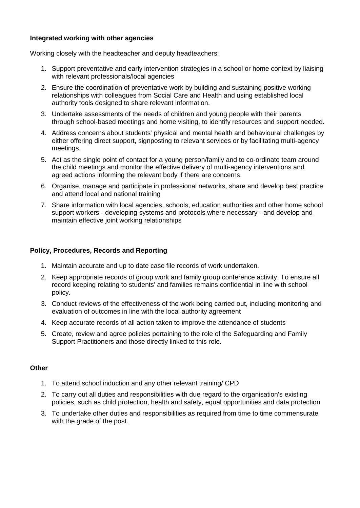### **Integrated working with other agencies**

Working closely with the headteacher and deputy headteachers:

- 1. Support preventative and early intervention strategies in a school or home context by liaising with relevant professionals/local agencies
- 2. Ensure the coordination of preventative work by building and sustaining positive working relationships with colleagues from Social Care and Health and using established local authority tools designed to share relevant information.
- 3. Undertake assessments of the needs of children and young people with their parents through school-based meetings and home visiting, to identify resources and support needed.
- 4. Address concerns about students' physical and mental health and behavioural challenges by either offering direct support, signposting to relevant services or by facilitating multi-agency meetings.
- 5. Act as the single point of contact for a young person/family and to co-ordinate team around the child meetings and monitor the effective delivery of multi-agency interventions and agreed actions informing the relevant body if there are concerns.
- 6. Organise, manage and participate in professional networks, share and develop best practice and attend local and national training
- 7. Share information with local agencies, schools, education authorities and other home school support workers - developing systems and protocols where necessary - and develop and maintain effective joint working relationships

## **Policy, Procedures, Records and Reporting**

- 1. Maintain accurate and up to date case file records of work undertaken.
- 2. Keep appropriate records of group work and family group conference activity. To ensure all record keeping relating to students' and families remains confidential in line with school policy.
- 3. Conduct reviews of the effectiveness of the work being carried out, including monitoring and evaluation of outcomes in line with the local authority agreement
- 4. Keep accurate records of all action taken to improve the attendance of students
- 5. Create, review and agree policies pertaining to the role of the Safeguarding and Family Support Practitioners and those directly linked to this role.

# **Other**

- 1. To attend school induction and any other relevant training/ CPD
- 2. To carry out all duties and responsibilities with due regard to the organisation's existing policies, such as child protection, health and safety, equal opportunities and data protection
- 3. To undertake other duties and responsibilities as required from time to time commensurate with the grade of the post.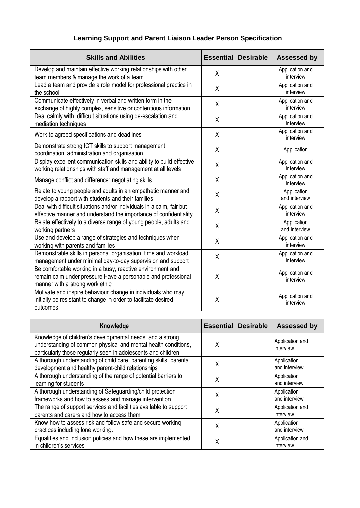# **Learning Support and Parent Liaison Leader Person Specification**

| <b>Skills and Abilities</b>                                                                                                                                    | <b>Essential</b> | <b>Desirable</b> | <b>Assessed by</b>           |
|----------------------------------------------------------------------------------------------------------------------------------------------------------------|------------------|------------------|------------------------------|
| Develop and maintain effective working relationships with other<br>team members & manage the work of a team                                                    | X                |                  | Application and<br>interview |
| Lead a team and provide a role model for professional practice in<br>the school                                                                                | X                |                  | Application and<br>interview |
| Communicate effectively in verbal and written form in the<br>exchange of highly complex, sensitive or contentious information                                  | X                |                  | Application and<br>interview |
| Deal calmly with difficult situations using de-escalation and<br>mediation techniques                                                                          | X                |                  | Application and<br>interview |
| Work to agreed specifications and deadlines                                                                                                                    | X                |                  | Application and<br>interview |
| Demonstrate strong ICT skills to support management<br>coordination, administration and organisation                                                           | X                |                  | Application                  |
| Display excellent communication skills and ability to build effective<br>working relationships with staff and management at all levels                         | X                |                  | Application and<br>interview |
| Manage conflict and difference: negotiating skills                                                                                                             | X                |                  | Application and<br>interview |
| Relate to young people and adults in an empathetic manner and<br>develop a rapport with students and their families                                            | X                |                  | Application<br>and interview |
| Deal with difficult situations and/or individuals in a calm, fair but<br>effective manner and understand the importance of confidentiality                     | χ                |                  | Application and<br>interview |
| Relate effectively to a diverse range of young people, adults and<br>working partners                                                                          | χ                |                  | Application<br>and interview |
| Use and develop a range of strategies and techniques when<br>working with parents and families                                                                 | X                |                  | Application and<br>interview |
| Demonstrable skills in personal organisation, time and workload<br>management under minimal day-to-day supervision and support                                 | X                |                  | Application and<br>interview |
| Be comfortable working in a busy, reactive environment and<br>remain calm under pressure Have a personable and professional<br>manner with a strong work ethic | X                |                  | Application and<br>interview |
| Motivate and inspire behaviour change in individuals who may<br>initially be resistant to change in order to facilitate desired<br>outcomes.                   | X                |                  | Application and<br>interview |

| Knowledge                                                                                                                                                                                      | Essential | <b>Desirable</b> | <b>Assessed by</b>           |
|------------------------------------------------------------------------------------------------------------------------------------------------------------------------------------------------|-----------|------------------|------------------------------|
| Knowledge of children's developmental needs - and a strong<br>understanding of common physical and mental health conditions,<br>particularly those regularly seen in adolescents and children. | X         |                  | Application and<br>interview |
| A thorough understanding of child care, parenting skills, parental<br>development and healthy parent-child relationships                                                                       | χ         |                  | Application<br>and interview |
| A thorough understanding of the range of potential barriers to<br>learning for students                                                                                                        | χ         |                  | Application<br>and interview |
| A thorough understanding of Safeguarding/child protection<br>frameworks and how to assess and manage intervention                                                                              | Χ         |                  | Application<br>and interview |
| The range of support services and facilities available to support<br>parents and carers and how to access them                                                                                 | χ         |                  | Application and<br>interview |
| Know how to assess risk and follow safe and secure working<br>practices including lone working.                                                                                                | χ         |                  | Application<br>and interview |
| Equalities and inclusion policies and how these are implemented<br>in children's services                                                                                                      | χ         |                  | Application and<br>interview |